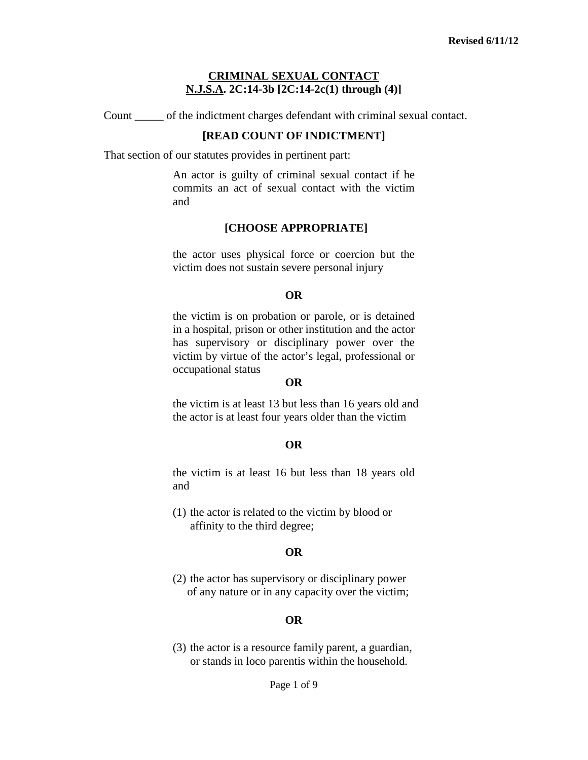Count \_\_\_\_\_ of the indictment charges defendant with criminal sexual contact.

#### **[READ COUNT OF INDICTMENT]**

That section of our statutes provides in pertinent part:

An actor is guilty of criminal sexual contact if he commits an act of sexual contact with the victim and

#### **[CHOOSE APPROPRIATE]**

the actor uses physical force or coercion but the victim does not sustain severe personal injury

#### **OR**

the victim is on probation or parole, or is detained in a hospital, prison or other institution and the actor has supervisory or disciplinary power over the victim by virtue of the actor's legal, professional or occupational status

#### **OR**

the victim is at least 13 but less than 16 years old and the actor is at least four years older than the victim

#### **OR**

the victim is at least 16 but less than 18 years old and

(1) the actor is related to the victim by blood or affinity to the third degree;

#### **OR**

(2) the actor has supervisory or disciplinary power of any nature or in any capacity over the victim;

#### **OR**

<span id="page-0-0"></span>(3) the actor is a resource family parent, a guardian, or stands in loco parentis within the household.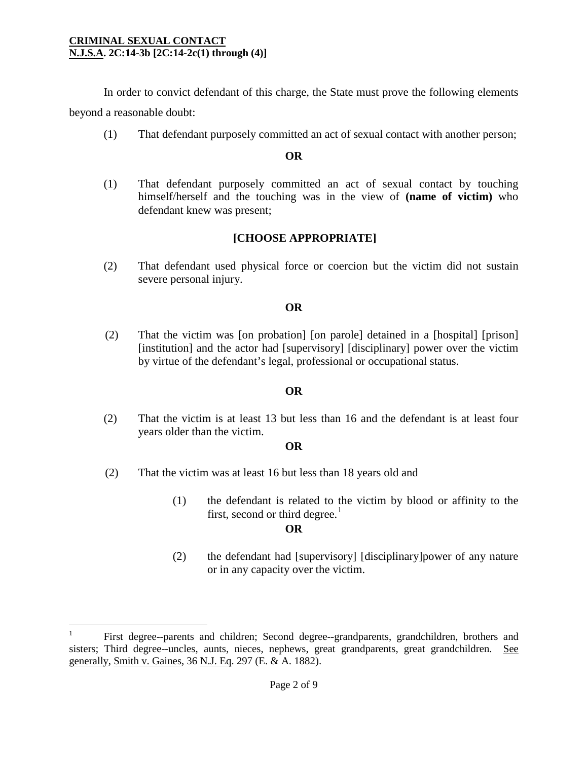In order to convict defendant of this charge, the State must prove the following elements beyond a reasonable doubt:

(1) That defendant purposely committed an act of sexual contact with another person;

## **OR**

(1) That defendant purposely committed an act of sexual contact by touching himself/herself and the touching was in the view of **(name of victim)** who defendant knew was present;

# **[CHOOSE APPROPRIATE]**

(2) That defendant used physical force or coercion but the victim did not sustain severe personal injury.

## **OR**

(2) That the victim was [on probation] [on parole] detained in a [hospital] [prison] [institution] and the actor had [supervisory] [disciplinary] power over the victim by virtue of the defendant's legal, professional or occupational status.

## **OR**

(2) That the victim is at least 13 but less than 16 and the defendant is at least four years older than the victim.

## **OR**

- (2) That the victim was at least 16 but less than 18 years old and
	- (1) the defendant is related to the victim by blood or affinity to the first, second or third degree.<sup>[1](#page-0-0)</sup>

## **OR**

(2) the defendant had [supervisory] [disciplinary]power of any nature or in any capacity over the victim.

<span id="page-1-0"></span> $\frac{1}{1}$ <sup>1</sup> First degree--parents and children; Second degree--grandparents, grandchildren, brothers and sisters; Third degree--uncles, aunts, nieces, nephews, great grandparents, great grandchildren. See generally, Smith v. Gaines, 36 N.J. Eq. 297 (E. & A. 1882).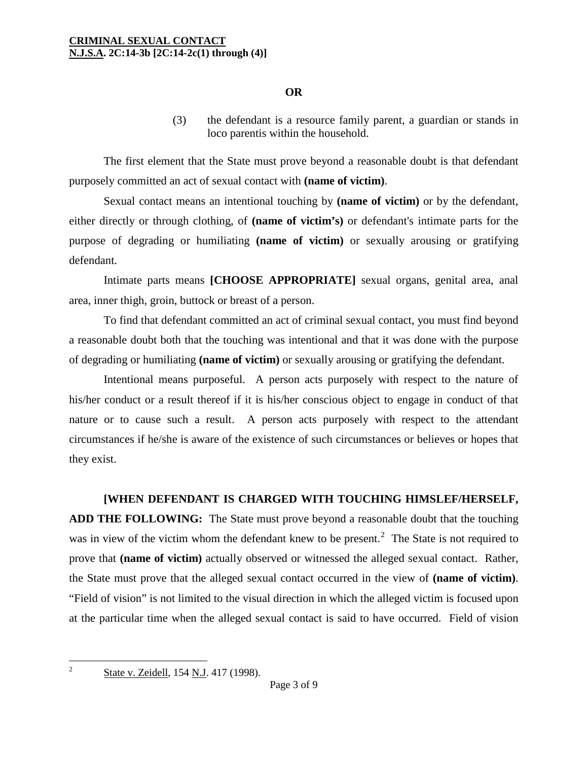### **OR**

(3) the defendant is a resource family parent, a guardian or stands in loco parentis within the household.

The first element that the State must prove beyond a reasonable doubt is that defendant purposely committed an act of sexual contact with **(name of victim)**.

Sexual contact means an intentional touching by **(name of victim)** or by the defendant, either directly or through clothing, of **(name of victim's)** or defendant's intimate parts for the purpose of degrading or humiliating **(name of victim)** or sexually arousing or gratifying defendant.

Intimate parts means **[CHOOSE APPROPRIATE]** sexual organs, genital area, anal area, inner thigh, groin, buttock or breast of a person.

To find that defendant committed an act of criminal sexual contact, you must find beyond a reasonable doubt both that the touching was intentional and that it was done with the purpose of degrading or humiliating **(name of victim)** or sexually arousing or gratifying the defendant.

Intentional means purposeful. A person acts purposely with respect to the nature of his/her conduct or a result thereof if it is his/her conscious object to engage in conduct of that nature or to cause such a result. A person acts purposely with respect to the attendant circumstances if he/she is aware of the existence of such circumstances or believes or hopes that they exist.

#### **[WHEN DEFENDANT IS CHARGED WITH TOUCHING HIMSLEF/HERSELF,**

**ADD THE FOLLOWING:** The State must prove beyond a reasonable doubt that the touching was in view of the victim whom the defendant knew to be present.<sup>[2](#page-1-0)</sup> The State is not required to prove that **(name of victim)** actually observed or witnessed the alleged sexual contact. Rather, the State must prove that the alleged sexual contact occurred in the view of **(name of victim)**. "Field of vision" is not limited to the visual direction in which the alleged victim is focused upon at the particular time when the alleged sexual contact is said to have occurred. Field of vision

<span id="page-2-0"></span> $\overline{2}$ 

State v. Zeidell, 154 N.J. 417 (1998).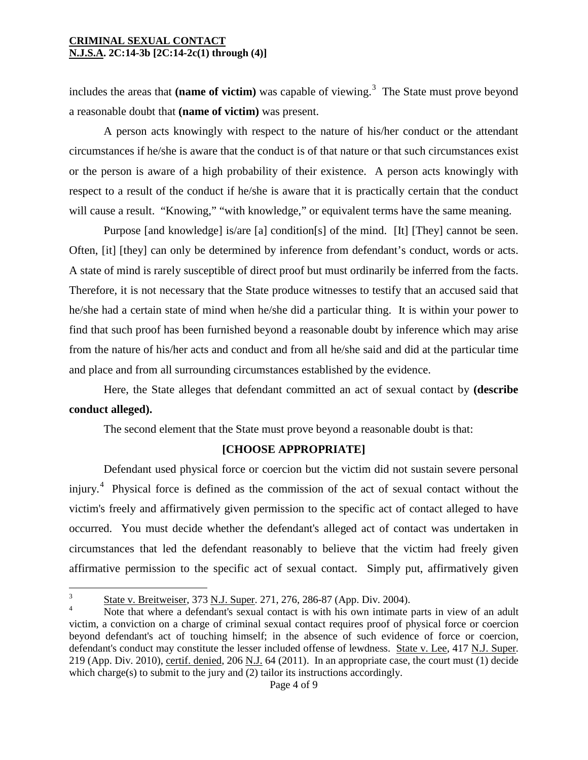includes the areas that (name of victim) was capable of viewing.<sup>[3](#page-2-0)</sup> The State must prove beyond a reasonable doubt that **(name of victim)** was present.

A person acts knowingly with respect to the nature of his/her conduct or the attendant circumstances if he/she is aware that the conduct is of that nature or that such circumstances exist or the person is aware of a high probability of their existence. A person acts knowingly with respect to a result of the conduct if he/she is aware that it is practically certain that the conduct will cause a result. "Knowing," "with knowledge," or equivalent terms have the same meaning.

Purpose [and knowledge] is/are [a] condition[s] of the mind. [It] [They] cannot be seen. Often, [it] [they] can only be determined by inference from defendant's conduct, words or acts. A state of mind is rarely susceptible of direct proof but must ordinarily be inferred from the facts. Therefore, it is not necessary that the State produce witnesses to testify that an accused said that he/she had a certain state of mind when he/she did a particular thing. It is within your power to find that such proof has been furnished beyond a reasonable doubt by inference which may arise from the nature of his/her acts and conduct and from all he/she said and did at the particular time and place and from all surrounding circumstances established by the evidence.

Here, the State alleges that defendant committed an act of sexual contact by **(describe conduct alleged).**

The second element that the State must prove beyond a reasonable doubt is that:

## **[CHOOSE APPROPRIATE]**

Defendant used physical force or coercion but the victim did not sustain severe personal injury.<sup>[4](#page-3-0)</sup> Physical force is defined as the commission of the act of sexual contact without the victim's freely and affirmatively given permission to the specific act of contact alleged to have occurred. You must decide whether the defendant's alleged act of contact was undertaken in circumstances that led the defendant reasonably to believe that the victim had freely given affirmative permission to the specific act of sexual contact. Simply put, affirmatively given

 $\overline{3}$  $\frac{3}{4}$  State v. Breitweiser, 373 <u>N.J. Super</u>. 271, 276, 286-87 (App. Div. 2004).

<span id="page-3-1"></span><span id="page-3-0"></span>Note that where a defendant's sexual contact is with his own intimate parts in view of an adult victim, a conviction on a charge of criminal sexual contact requires proof of physical force or coercion beyond defendant's act of touching himself; in the absence of such evidence of force or coercion, defendant's conduct may constitute the lesser included offense of lewdness. State v. Lee, 417 N.J. Super. 219 (App. Div. 2010), certif. denied, 206 N.J. 64 (2011). In an appropriate case, the court must (1) decide which charge(s) to submit to the jury and (2) tailor its instructions accordingly.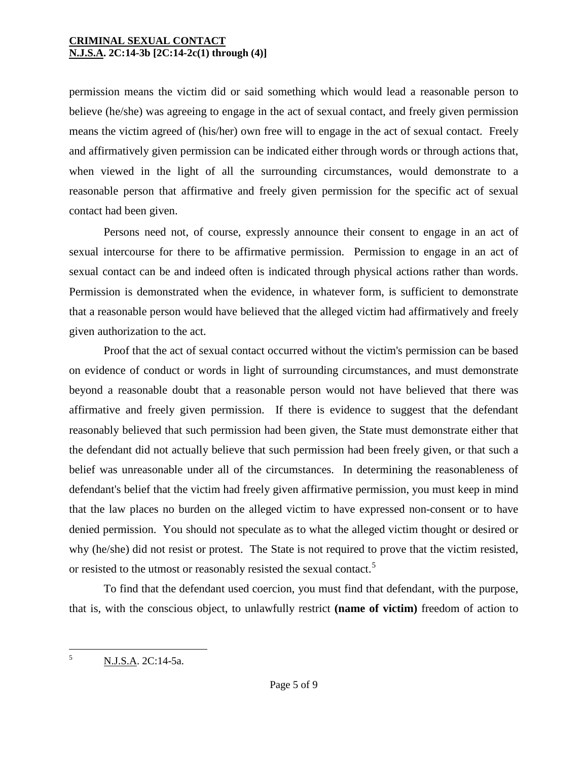permission means the victim did or said something which would lead a reasonable person to believe (he/she) was agreeing to engage in the act of sexual contact, and freely given permission means the victim agreed of (his/her) own free will to engage in the act of sexual contact. Freely and affirmatively given permission can be indicated either through words or through actions that, when viewed in the light of all the surrounding circumstances, would demonstrate to a reasonable person that affirmative and freely given permission for the specific act of sexual contact had been given.

Persons need not, of course, expressly announce their consent to engage in an act of sexual intercourse for there to be affirmative permission. Permission to engage in an act of sexual contact can be and indeed often is indicated through physical actions rather than words. Permission is demonstrated when the evidence, in whatever form, is sufficient to demonstrate that a reasonable person would have believed that the alleged victim had affirmatively and freely given authorization to the act.

Proof that the act of sexual contact occurred without the victim's permission can be based on evidence of conduct or words in light of surrounding circumstances, and must demonstrate beyond a reasonable doubt that a reasonable person would not have believed that there was affirmative and freely given permission. If there is evidence to suggest that the defendant reasonably believed that such permission had been given, the State must demonstrate either that the defendant did not actually believe that such permission had been freely given, or that such a belief was unreasonable under all of the circumstances. In determining the reasonableness of defendant's belief that the victim had freely given affirmative permission, you must keep in mind that the law places no burden on the alleged victim to have expressed non-consent or to have denied permission. You should not speculate as to what the alleged victim thought or desired or why (he/she) did not resist or protest. The State is not required to prove that the victim resisted, or resisted to the utmost or reasonably resisted the sexual contact.[5](#page-3-1)

To find that the defendant used coercion, you must find that defendant, with the purpose, that is, with the conscious object, to unlawfully restrict **(name of victim)** freedom of action to

<span id="page-4-0"></span> $\tilde{\mathcal{L}}$ <sup>5</sup> N.J.S.A. 2C:14-5a.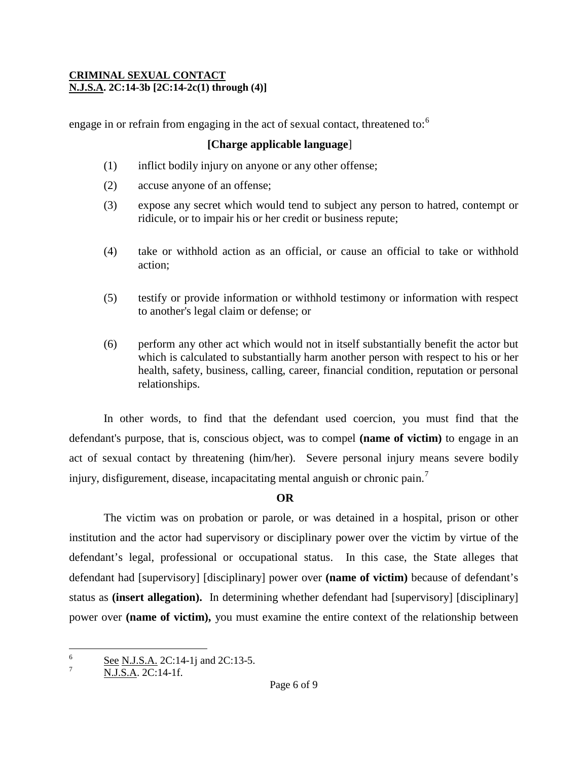engage in or refrain from engaging in the act of sexual contact, threatened to:<sup>[6](#page-4-0)</sup>

## **[Charge applicable language**]

- (1) inflict bodily injury on anyone or any other offense;
- (2) accuse anyone of an offense;
- (3) expose any secret which would tend to subject any person to hatred, contempt or ridicule, or to impair his or her credit or business repute;
- (4) take or withhold action as an official, or cause an official to take or withhold action;
- (5) testify or provide information or withhold testimony or information with respect to another's legal claim or defense; or
- (6) perform any other act which would not in itself substantially benefit the actor but which is calculated to substantially harm another person with respect to his or her health, safety, business, calling, career, financial condition, reputation or personal relationships.

In other words, to find that the defendant used coercion, you must find that the defendant's purpose, that is, conscious object, was to compel **(name of victim)** to engage in an act of sexual contact by threatening (him/her). Severe personal injury means severe bodily injury, disfigurement, disease, incapacitating mental anguish or chronic pain.<sup>[7](#page-5-0)</sup>

## **OR**

The victim was on probation or parole, or was detained in a hospital, prison or other institution and the actor had supervisory or disciplinary power over the victim by virtue of the defendant's legal, professional or occupational status. In this case, the State alleges that defendant had [supervisory] [disciplinary] power over **(name of victim)** because of defendant's status as **(insert allegation).** In determining whether defendant had [supervisory] [disciplinary] power over **(name of victim),** you must examine the entire context of the relationship between

<span id="page-5-1"></span><sup>6</sup>  $\frac{6}{7}$  See N.J.S.A. 2C:14-1j and 2C:13-5.

<span id="page-5-0"></span>N.J.S.A. 2C:14-1f.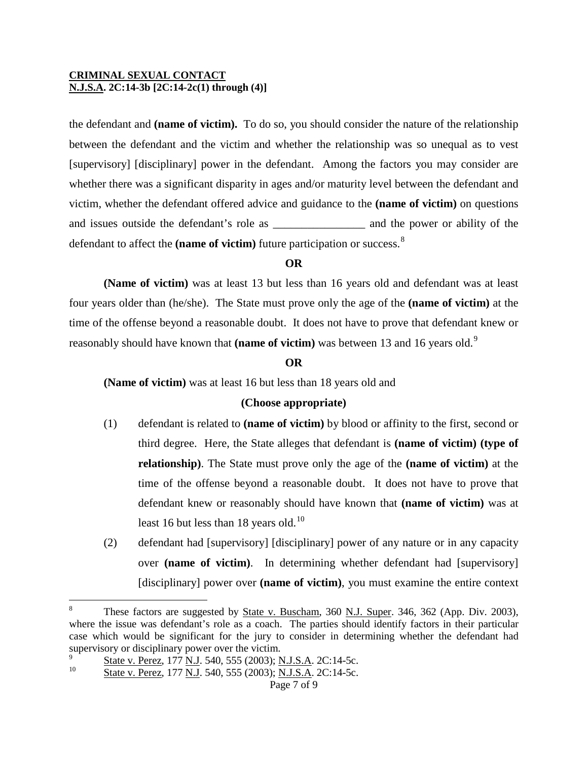the defendant and **(name of victim).** To do so, you should consider the nature of the relationship between the defendant and the victim and whether the relationship was so unequal as to vest [supervisory] [disciplinary] power in the defendant. Among the factors you may consider are whether there was a significant disparity in ages and/or maturity level between the defendant and victim, whether the defendant offered advice and guidance to the **(name of victim)** on questions and issues outside the defendant's role as  $\qquad \qquad$  and the power or ability of the defendant to affect the (name of victim) future participation or success.<sup>[8](#page-5-1)</sup>

## **OR**

**(Name of victim)** was at least 13 but less than 16 years old and defendant was at least four years older than (he/she). The State must prove only the age of the **(name of victim)** at the time of the offense beyond a reasonable doubt. It does not have to prove that defendant knew or reasonably should have known that **(name of victim)** was between 13 and 16 years old.[9](#page-6-0)

### **OR**

**(Name of victim)** was at least 16 but less than 18 years old and

## **(Choose appropriate)**

- (1) defendant is related to **(name of victim)** by blood or affinity to the first, second or third degree. Here, the State alleges that defendant is **(name of victim) (type of relationship)**. The State must prove only the age of the **(name of victim)** at the time of the offense beyond a reasonable doubt. It does not have to prove that defendant knew or reasonably should have known that **(name of victim)** was at least 16 but less than 18 years old.<sup>[10](#page-6-1)</sup>
- (2) defendant had [supervisory] [disciplinary] power of any nature or in any capacity over **(name of victim)**. In determining whether defendant had [supervisory] [disciplinary] power over **(name of victim)**, you must examine the entire context

<span id="page-6-2"></span> $\overline{a}$ 

These factors are suggested by State v. Buscham, 360 N.J. Super. 346, 362 (App. Div. 2003), where the issue was defendant's role as a coach. The parties should identify factors in their particular case which would be significant for the jury to consider in determining whether the defendant had supervisory or disciplinary power over the victim.

<span id="page-6-0"></span> $\frac{9}{10}$  State v. Perez, 177 N.J. 540, 555 (2003); N.J.S.A. 2C:14-5c.

<span id="page-6-1"></span>State v. Perez, 177 N.J. 540, 555 (2003); N.J.S.A. 2C:14-5c.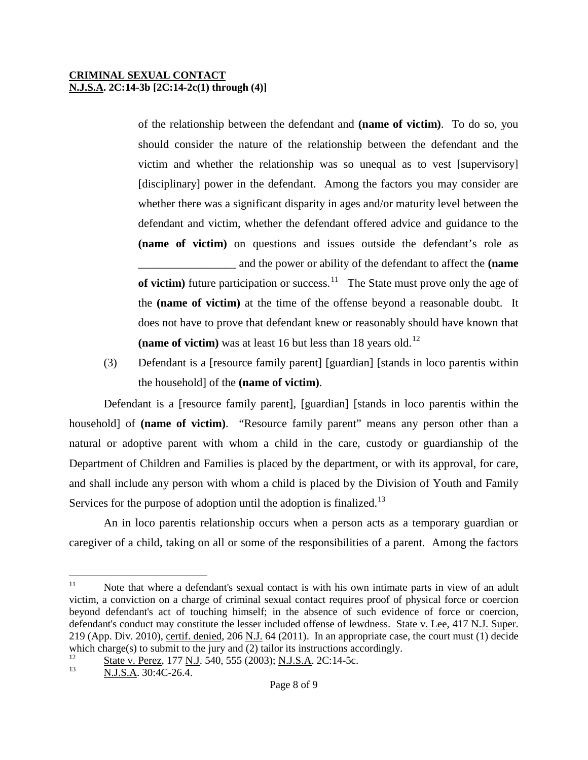of the relationship between the defendant and **(name of victim)**. To do so, you should consider the nature of the relationship between the defendant and the victim and whether the relationship was so unequal as to vest [supervisory] [disciplinary] power in the defendant. Among the factors you may consider are whether there was a significant disparity in ages and/or maturity level between the defendant and victim, whether the defendant offered advice and guidance to the **(name of victim)** on questions and issues outside the defendant's role as \_\_\_\_\_\_\_\_\_\_\_\_\_\_\_\_\_ and the power or ability of the defendant to affect the **(name of victim**) future participation or success.<sup>11</sup> The State must prove only the age of the **(name of victim)** at the time of the offense beyond a reasonable doubt. It does not have to prove that defendant knew or reasonably should have known that **(name of victim)** was at least 16 but less than 18 years old.<sup>[12](#page-7-0)</sup>

(3) Defendant is a [resource family parent] [guardian] [stands in loco parentis within the household] of the **(name of victim)**.

Defendant is a [resource family parent], [guardian] [stands in loco parentis within the household] of **(name of victim)**. "Resource family parent" means any person other than a natural or adoptive parent with whom a child in the care, custody or guardianship of the Department of Children and Families is placed by the department, or with its approval, for care, and shall include any person with whom a child is placed by the Division of Youth and Family Services for the purpose of adoption until the adoption is finalized.<sup>[13](#page-7-1)</sup>

An in loco parentis relationship occurs when a person acts as a temporary guardian or caregiver of a child, taking on all or some of the responsibilities of a parent. Among the factors

 $11\,$ Note that where a defendant's sexual contact is with his own intimate parts in view of an adult victim, a conviction on a charge of criminal sexual contact requires proof of physical force or coercion beyond defendant's act of touching himself; in the absence of such evidence of force or coercion, defendant's conduct may constitute the lesser included offense of lewdness. State v. Lee, 417 N.J. Super. 219 (App. Div. 2010), certif. denied, 206 N.J. 64 (2011). In an appropriate case, the court must (1) decide which charge(s) to submit to the jury and (2) tailor its instructions accordingly.

<span id="page-7-2"></span><span id="page-7-1"></span><span id="page-7-0"></span> $\frac{12}{13}$  State v. Perez, 177 N.J. 540, 555 (2003); N.J.S.A. 2C:14-5c.

<sup>13</sup> N.J.S.A. 30:4C-26.4.